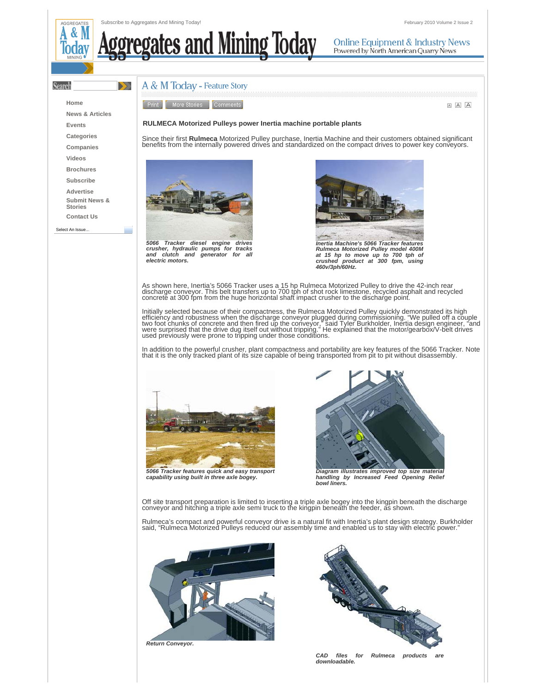**Online Equipment & Industry News** Powered by North American Quarry News

 $\blacktriangleright$ 

٠

## <u>ates and Mining Today</u>

## **Search Home**

ă

**Events Categories Companies Videos Brochures Subscribe Advertise Submit News & Stories Contact Us** Select An Issue.

**News & Articles**

A & M Today - Feature Story



A A

## **RULMECA Motorized Pulleys power Inertia machine portable plants**

Since their first **Rulmeca** Motorized Pulley purchase, Inertia Machine and their customers obtained significant benefits from the internally powered drives and standardized on the compact drives to power key conveyors.



*5066 Tracker diesel engine drives crusher, hydraulic pumps for tracks and clutch and generator for all electric motors.*



*Inertia Machine's 5066 Tracker features Rulmeca Motorized Pulley model 400M at 15 hp to move up to 700 tph of crushed product at 300 fpm, using 460v/3ph/60Hz.*

As shown here, Inertia's 5066 Tracker uses a 15 hp Rulmeca Motorized Pulley to drive the 42-inch rear<br>discharge conveyor. This belt transfers up to 700 tph of shot rock limestone, recycled asphalt and recycled<br>concrete at

Initially selected because of their compactness, the Rulmeca Motorized Pulley quickly demonstrated its high efficiency and robustness when the discharge conveyor plugged during commissioning. "We pulled off a couple<br>two foot chunks of concrete and then fired up the conveyor," said Tyler Burkholder, Inertia design engineer, "and<br>

In addition to the powerful crusher, plant compactness and portability are key features of the 5066 Tracker. Note<br>that it is the only tracked plant of its size capable of being transported from pit to pit without disassemb







*Diagram illustrates improved top size material handling by Increased Feed Opening Relief bowl liners.*

Off site transport preparation is limited to inserting a triple axle bogey into the kingpin beneath the discharge conveyor and hitching a triple axle semi truck to the kingpin beneath the feeder, as shown.

Rulmeca's compact and powerful conveyor drive is a natural fit with Inertia's plant design strategy. Burkholder said, "Rulmeca Motorized Pulleys reduced our assembly time and enabled us to stay with electric power."



*Return Conveyor.*



CAD files for Rulmeca products *downloadable.*